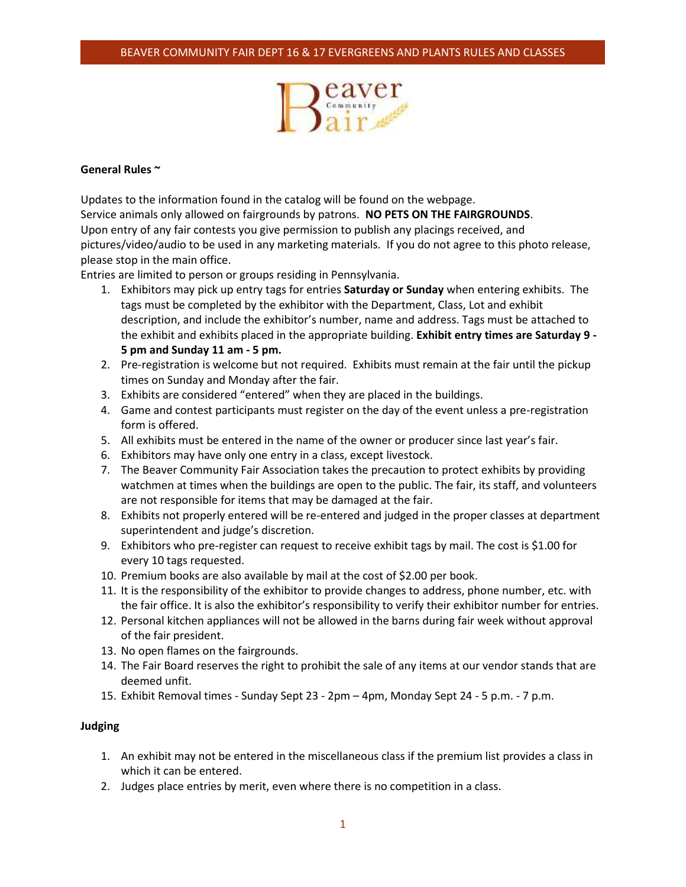

## **General Rules ~**

Updates to the information found in the catalog will be found on the webpage. Service animals only allowed on fairgrounds by patrons. **NO PETS ON THE FAIRGROUNDS**. Upon entry of any fair contests you give permission to publish any placings received, and pictures/video/audio to be used in any marketing materials. If you do not agree to this photo release, please stop in the main office.

Entries are limited to person or groups residing in Pennsylvania.

- 1. Exhibitors may pick up entry tags for entries **Saturday or Sunday** when entering exhibits. The tags must be completed by the exhibitor with the Department, Class, Lot and exhibit description, and include the exhibitor's number, name and address. Tags must be attached to the exhibit and exhibits placed in the appropriate building. **Exhibit entry times are Saturday 9 - 5 pm and Sunday 11 am - 5 pm.**
- 2. Pre-registration is welcome but not required. Exhibits must remain at the fair until the pickup times on Sunday and Monday after the fair.
- 3. Exhibits are considered "entered" when they are placed in the buildings.
- 4. Game and contest participants must register on the day of the event unless a pre-registration form is offered.
- 5. All exhibits must be entered in the name of the owner or producer since last year's fair.
- 6. Exhibitors may have only one entry in a class, except livestock.
- 7. The Beaver Community Fair Association takes the precaution to protect exhibits by providing watchmen at times when the buildings are open to the public. The fair, its staff, and volunteers are not responsible for items that may be damaged at the fair.
- 8. Exhibits not properly entered will be re-entered and judged in the proper classes at department superintendent and judge's discretion.
- 9. Exhibitors who pre-register can request to receive exhibit tags by mail. The cost is \$1.00 for every 10 tags requested.
- 10. Premium books are also available by mail at the cost of \$2.00 per book.
- 11. It is the responsibility of the exhibitor to provide changes to address, phone number, etc. with the fair office. It is also the exhibitor's responsibility to verify their exhibitor number for entries.
- 12. Personal kitchen appliances will not be allowed in the barns during fair week without approval of the fair president.
- 13. No open flames on the fairgrounds.
- 14. The Fair Board reserves the right to prohibit the sale of any items at our vendor stands that are deemed unfit.
- 15. Exhibit Removal times Sunday Sept 23 2pm 4pm, Monday Sept 24 5 p.m. 7 p.m.

# **Judging**

- 1. An exhibit may not be entered in the miscellaneous class if the premium list provides a class in which it can be entered.
- 2. Judges place entries by merit, even where there is no competition in a class.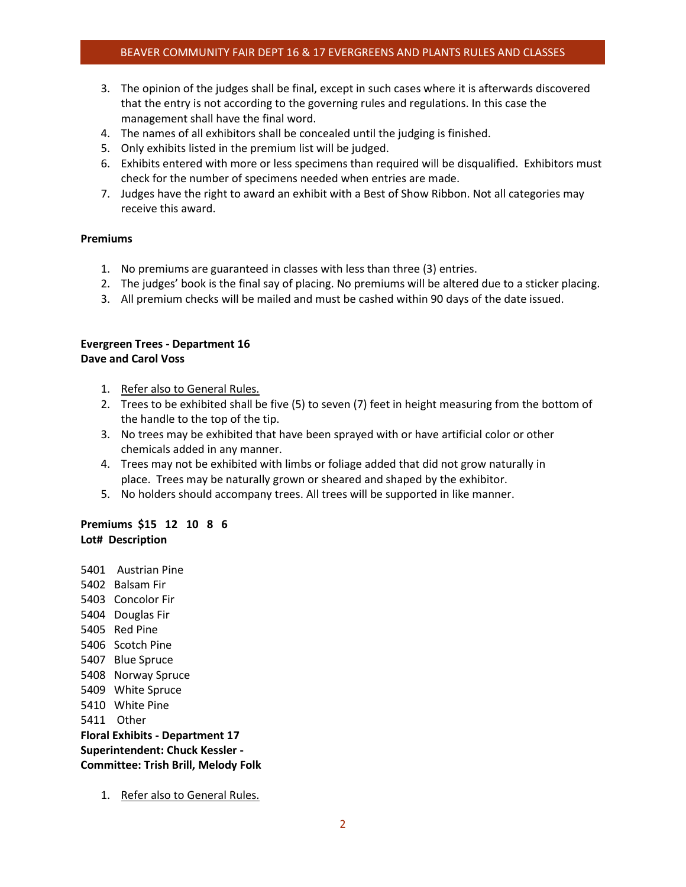- 3. The opinion of the judges shall be final, except in such cases where it is afterwards discovered that the entry is not according to the governing rules and regulations. In this case the management shall have the final word.
- 4. The names of all exhibitors shall be concealed until the judging is finished.
- 5. Only exhibits listed in the premium list will be judged.
- 6. Exhibits entered with more or less specimens than required will be disqualified. Exhibitors must check for the number of specimens needed when entries are made.
- 7. Judges have the right to award an exhibit with a Best of Show Ribbon. Not all categories may receive this award.

## **Premiums**

- 1. No premiums are guaranteed in classes with less than three (3) entries.
- 2. The judges' book is the final say of placing. No premiums will be altered due to a sticker placing.
- 3. All premium checks will be mailed and must be cashed within 90 days of the date issued.

#### **Evergreen Trees - Department 16 Dave and Carol Voss**

- 1. Refer also to General Rules.
- 2. Trees to be exhibited shall be five (5) to seven (7) feet in height measuring from the bottom of the handle to the top of the tip.
- 3. No trees may be exhibited that have been sprayed with or have artificial color or other chemicals added in any manner.
- 4. Trees may not be exhibited with limbs or foliage added that did not grow naturally in place. Trees may be naturally grown or sheared and shaped by the exhibitor.
- 5. No holders should accompany trees. All trees will be supported in like manner.

# **Premiums \$15 12 10 8 6 Lot# Description**

 Austrian Pine Balsam Fir Concolor Fir Douglas Fir 5405 Red Pine Scotch Pine Blue Spruce Norway Spruce White Spruce White Pine 5411 Other **Floral Exhibits - Department 17 Superintendent: Chuck Kessler - Committee: Trish Brill, Melody Folk**

1. Refer also to [General Rules.](https://www.beaverfair.org/exhibitors)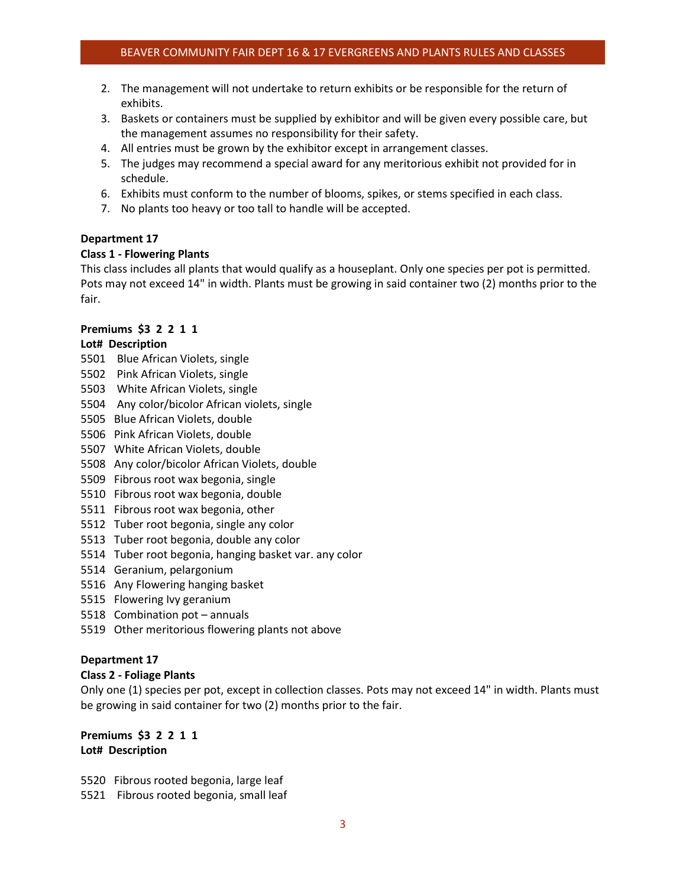- 2. The management will not undertake to return exhibits or be responsible for the return of exhibits.
- 3. Baskets or containers must be supplied by exhibitor and will be given every possible care, but the management assumes no responsibility for their safety.
- 4. All entries must be grown by the exhibitor except in arrangement classes.
- 5. The judges may recommend a special award for any meritorious exhibit not provided for in schedule.
- 6. Exhibits must conform to the number of blooms, spikes, or stems specified in each class.
- 7. No plants too heavy or too tall to handle will be accepted.

## **Department 17**

## **Class 1 - Flowering Plants**

This class includes all plants that would qualify as a houseplant. Only one species per pot is permitted. Pots may not exceed 14" in width. Plants must be growing in said container two (2) months prior to the fair.

## **Premiums \$3 2 2 1 1**

## **Lot# Description**

- 5501 Blue African Violets, single
- 5502 Pink African Violets, single
- 5503 White African Violets, single
- 5504 Any color/bicolor African violets, single
- 5505 Blue African Violets, double
- 5506 Pink African Violets, double
- 5507 White African Violets, double
- 5508 Any color/bicolor African Violets, double
- 5509 Fibrous root wax begonia, single
- 5510 Fibrous root wax begonia, double
- 5511 Fibrous root wax begonia, other
- 5512 Tuber root begonia, single any color
- 5513 Tuber root begonia, double any color
- 5514 Tuber root begonia, hanging basket var. any color
- 5514 Geranium, pelargonium
- 5516 Any Flowering hanging basket
- 5515 Flowering Ivy geranium
- 5518 Combination pot annuals
- 5519 Other meritorious flowering plants not above

#### **Department 17**

#### **Class 2 - Foliage Plants**

Only one (1) species per pot, except in collection classes. Pots may not exceed 14" in width. Plants must be growing in said container for two (2) months prior to the fair.

# **Premiums \$3 2 2 1 1 Lot# Description**

- 5520 Fibrous rooted begonia, large leaf
- 5521 Fibrous rooted begonia, small leaf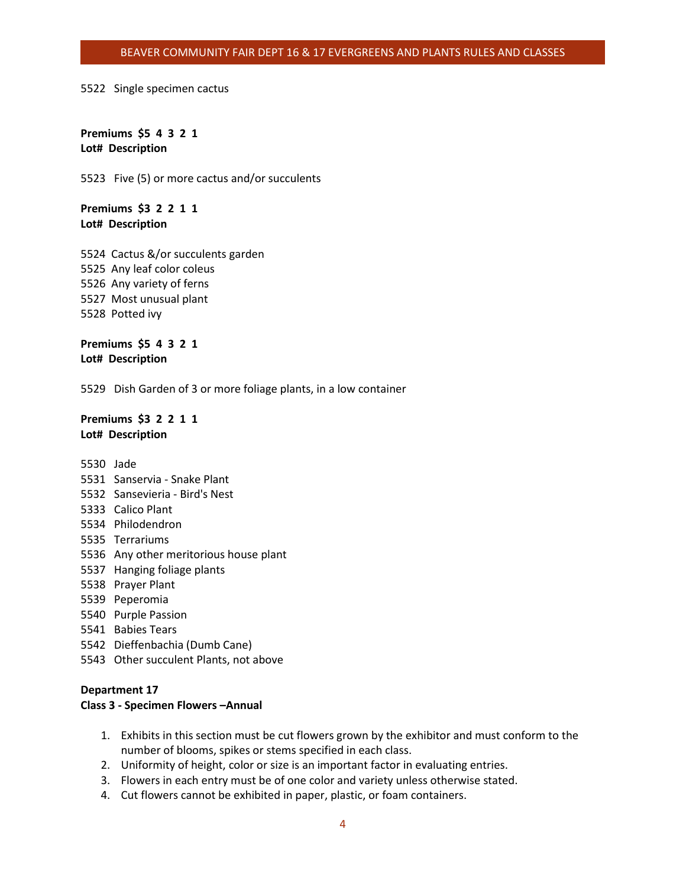#### BEAVER COMMUNITY FAIR DEPT 16 & 17 EVERGREENS AND PLANTS RULES AND CLASSES

#### 5522 Single specimen cactus

**Premiums \$5 4 3 2 1 Lot# Description**

5523 Five (5) or more cactus and/or succulents

**Premiums \$3 2 2 1 1 Lot# Description**

 Cactus &/or succulents garden Any leaf color coleus Any variety of ferns Most unusual plant Potted ivy

**Premiums \$5 4 3 2 1 Lot# Description**

5529 Dish Garden of 3 or more foliage plants, in a low container

## **Premiums \$3 2 2 1 1 Lot# Description**

5530 Jade

- 5531 Sanservia Snake Plant
- 5532 Sansevieria Bird's Nest
- 5333 Calico Plant
- 5534 Philodendron
- 5535 Terrariums
- 5536 Any other meritorious house plant
- 5537 Hanging foliage plants
- 5538 Prayer Plant
- 5539 Peperomia
- 5540 Purple Passion
- 5541 Babies Tears
- 5542 Dieffenbachia (Dumb Cane)
- 5543 Other succulent Plants, not above

## **Department 17**

#### **Class 3 - Specimen Flowers –Annual**

- 1. Exhibits in this section must be cut flowers grown by the exhibitor and must conform to the number of blooms, spikes or stems specified in each class.
- 2. Uniformity of height, color or size is an important factor in evaluating entries.
- 3. Flowers in each entry must be of one color and variety unless otherwise stated.
- 4. Cut flowers cannot be exhibited in paper, plastic, or foam containers.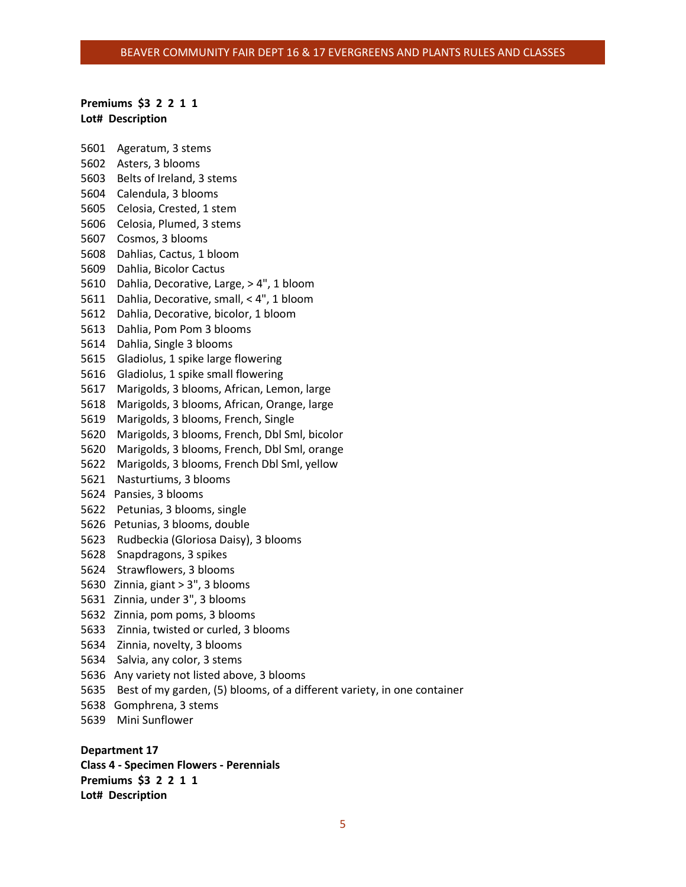#### BEAVER COMMUNITY FAIR DEPT 16 & 17 EVERGREENS AND PLANTS RULES AND CLASSES

#### **Premiums \$3 2 2 1 1 Lot# Description**

 Ageratum, 3 stems Asters, 3 blooms Belts of Ireland, 3 stems Calendula, 3 blooms Celosia, Crested, 1 stem Celosia, Plumed, 3 stems Cosmos, 3 blooms Dahlias, Cactus, 1 bloom Dahlia, Bicolor Cactus Dahlia, Decorative, Large, > 4", 1 bloom Dahlia, Decorative, small, < 4", 1 bloom Dahlia, Decorative, bicolor, 1 bloom Dahlia, Pom Pom 3 blooms Dahlia, Single 3 blooms Gladiolus, 1 spike large flowering Gladiolus, 1 spike small flowering Marigolds, 3 blooms, African, Lemon, large Marigolds, 3 blooms, African, Orange, large Marigolds, 3 blooms, French, Single Marigolds, 3 blooms, French, Dbl Sml, bicolor Marigolds, 3 blooms, French, Dbl Sml, orange Marigolds, 3 blooms, French Dbl Sml, yellow Nasturtiums, 3 blooms Pansies, 3 blooms Petunias, 3 blooms, single Petunias, 3 blooms, double Rudbeckia (Gloriosa Daisy), 3 blooms Snapdragons, 3 spikes Strawflowers, 3 blooms Zinnia, giant > 3", 3 blooms Zinnia, under 3", 3 blooms Zinnia, pom poms, 3 blooms Zinnia, twisted or curled, 3 blooms Zinnia, novelty, 3 blooms Salvia, any color, 3 stems Any variety not listed above, 3 blooms Best of my garden, (5) blooms, of a different variety, in one container Gomphrena, 3 stems Mini Sunflower

**Department 17 Class 4 - Specimen Flowers - Perennials Premiums \$3 2 2 1 1 Lot# Description**